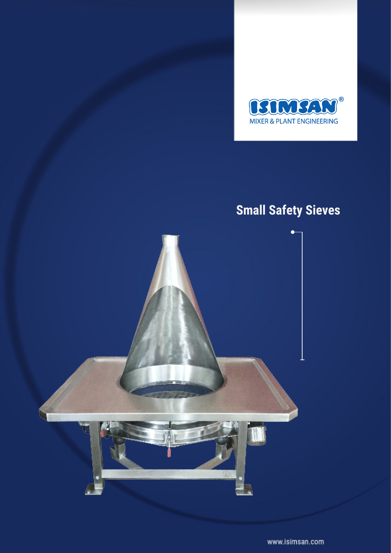

# **Small Safety Sieves**



www.isimsan.com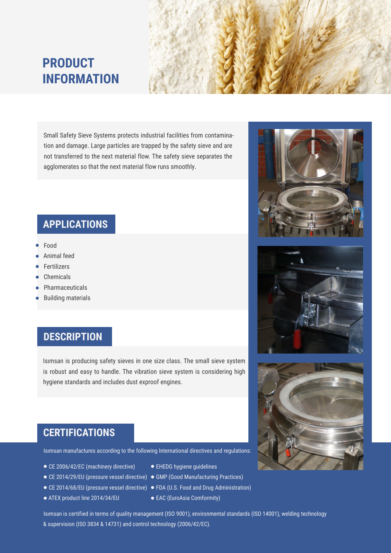# **PRODUCT INFORMATION**



Small Safety Sieve Systems protects industrial facilities from contamination and damage. Large particles are trapped by the safety sieve and are not transferred to the next material flow. The safety sieve separates the agglomerates so that the next material flow runs smoothly.

#### **APPLICATIONS**

- Food
- Animal feed
- Fertilizers
- Chemicals
- Pharmaceuticals
- Building materials

### **DESCRIPTION**

Isımsan is producing safety sieves in one size class. The small sieve system is robust and easy to handle. The vibration sieve system is considering high hygiene standards and includes dust exproof engines.

#### **CERTIFICATIONS**

Isımsan manufactures according to the following International directives and regulations:

- CE 2006/42/EC (machinery directive)
- CE 2014/29/EU (pressure vessel directive) GMP (Good Manufacturing Practices)
- 
- ATEX product line 2014/34/EU
- EHEDG hygiene guidelines
- 
- CE 2014/68/EU (pressure vessel directive) FDA (U.S. Food and Drug Administration)
	- EAC (EuroAsia Comformity)

Isımsan is certified in terms of quality management (ISO 9001), environmental standards (ISO 14001), welding technology & supervision (ISO 3834 & 14731) and control technology (2006/42/EC).





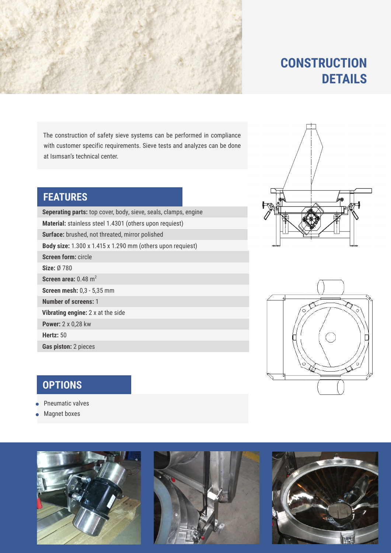

## **CONSTRUCTION DETAILS**

The construction of safety sieve systems can be performed in compliance with customer specific requirements. Sieve tests and analyzes can be done at Isımsan's technical center.

#### **FEATURES**

**Gas piston:** 2 pieces **Vibrating engine:** 2 x at the side **Screen mesh:** 0,3 - 5,35 mm **Number of screens:** 1 **Seperating parts:** top cover, body, sieve, seals, clamps, engine **Screen area: 0.48 m<sup>2</sup> Size:** Ø 780 **Screen form:** circle **Hertz:** 50 **Material:** stainless steel 1.4301 (others upon requiest) **Surface:** brushed, not threated, mirror polished **Power:** 2 x 0,28 kw **Body size:** 1.300 x 1.415 x 1.290 mm (others upon requiest)

### **OPTIONS**

- Pneumatic valves
- Magnet boxes









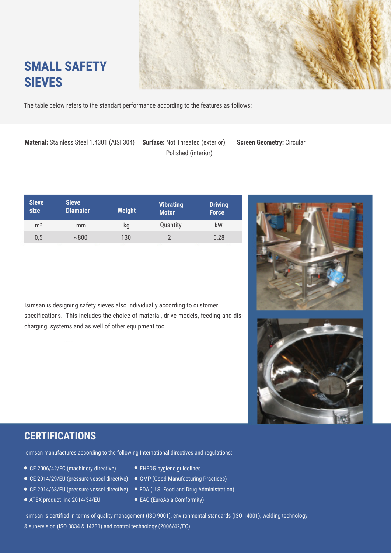

# **SMALL SAFETY SIEVES**

The table below refers to the standart performance according to the features as follows:

**Material:** Stainless Steel 1.4301 (AISI 304) **Surface:** Not Threated (exterior), **Screen Geometry:** Circular

Polished (interior)

| <b>Sieve</b><br>size | <b>Sieve</b><br><b>Diamater</b> | <b>Weight</b> | <b>Vibrating</b><br><b>Motor</b> | <b>Driving</b><br><b>Force</b> |
|----------------------|---------------------------------|---------------|----------------------------------|--------------------------------|
| m <sup>2</sup>       | mm                              | kq            | Quantity                         | kW                             |
| 0,5                  | ~800                            | 130           |                                  | 0,28                           |
|                      |                                 |               |                                  |                                |

Isımsan is designing safety sieves also individually according to customer specifications. This includes the choice of material, drive models, feeding and discharging systems and as well of other equipment too.



### **CERTIFICATIONS**

Isımsan manufactures according to the following International directives and regulations:

- CE 2006/42/EC (machinery directive)
- CE 2014/29/EU (pressure vessel directive)
- CE 2014/68/EU (pressure vessel directive)
- ATEX product line 2014/34/EU
- EHEDG hygiene guidelines
- GMP (Good Manufacturing Practices)
- FDA (U.S. Food and Drug Administration)
- EAC (EuroAsia Comformity)

Isımsan is certified in terms of quality management (ISO 9001), environmental standards (ISO 14001), welding technology & supervision (ISO 3834 & 14731) and control technology (2006/42/EC).